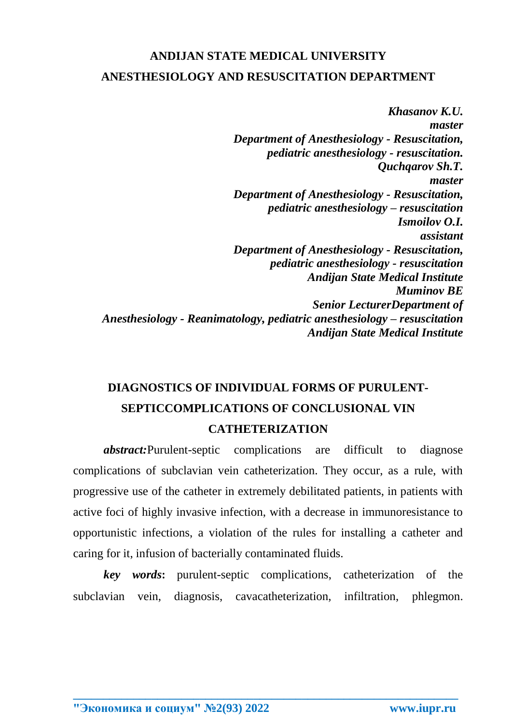## **ANDIJAN STATE MEDICAL UNIVERSITY ANESTHESIOLOGY AND RESUSCITATION DEPARTMENT**

*Khasanov K.U. master Department of Anesthesiology - Resuscitation, pediatric anesthesiology - resuscitation. Quchqarov Sh.T. master Department of Anesthesiology - Resuscitation, pediatric anesthesiology – resuscitation Ismoilov O.I. assistant Department of Anesthesiology - Resuscitation, pediatric anesthesiology - resuscitation Andijan State Medical Institute Muminov BE Senior LecturerDepartment of Anesthesiology - Reanimatology, pediatric anesthesiology – resuscitation Andijan State Medical Institute*

# **DIAGNOSTICS OF INDIVIDUAL FORMS OF PURULENT-SEPTICCOMPLICATIONS OF CONCLUSIONAL VIN CATHETERIZATION**

*abstract:*Purulent-septic complications are difficult to diagnose complications of subclavian vein catheterization. They occur, as a rule, with progressive use of the catheter in extremely debilitated patients, in patients with active foci of highly invasive infection, with a decrease in immunoresistance to opportunistic infections, a violation of the rules for installing a catheter and caring for it, infusion of bacterially contaminated fluids.

*key words***:** purulent-septic complications, catheterization of the subclavian vein, diagnosis, cavacatheterization, infiltration, phlegmon.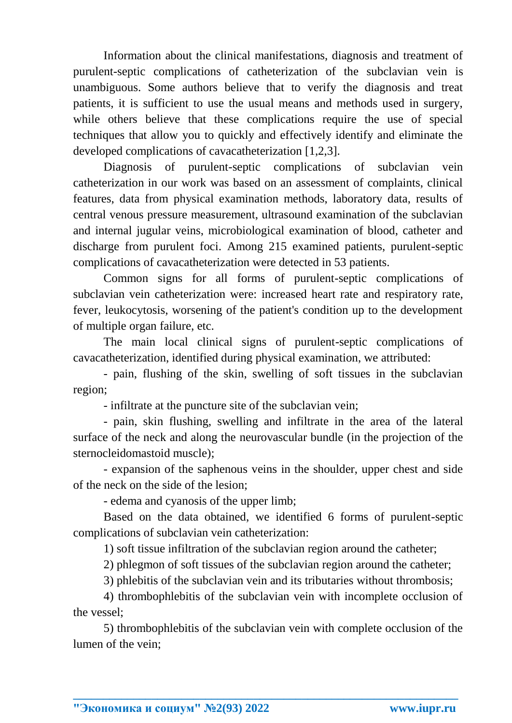Information about the clinical manifestations, diagnosis and treatment of purulent-septic complications of catheterization of the subclavian vein is unambiguous. Some authors believe that to verify the diagnosis and treat patients, it is sufficient to use the usual means and methods used in surgery, while others believe that these complications require the use of special techniques that allow you to quickly and effectively identify and eliminate the developed complications of cavacatheterization [1,2,3].

Diagnosis of purulent-septic complications of subclavian vein catheterization in our work was based on an assessment of complaints, clinical features, data from physical examination methods, laboratory data, results of central venous pressure measurement, ultrasound examination of the subclavian and internal jugular veins, microbiological examination of blood, catheter and discharge from purulent foci. Among 215 examined patients, purulent-septic complications of cavacatheterization were detected in 53 patients.

Common signs for all forms of purulent-septic complications of subclavian vein catheterization were: increased heart rate and respiratory rate, fever, leukocytosis, worsening of the patient's condition up to the development of multiple organ failure, etc.

The main local clinical signs of purulent-septic complications of cavacatheterization, identified during physical examination, we attributed:

- pain, flushing of the skin, swelling of soft tissues in the subclavian region;

- infiltrate at the puncture site of the subclavian vein;

- pain, skin flushing, swelling and infiltrate in the area of the lateral surface of the neck and along the neurovascular bundle (in the projection of the sternocleidomastoid muscle);

- expansion of the saphenous veins in the shoulder, upper chest and side of the neck on the side of the lesion;

- edema and cyanosis of the upper limb;

Based on the data obtained, we identified 6 forms of purulent-septic complications of subclavian vein catheterization:

1) soft tissue infiltration of the subclavian region around the catheter;

2) phlegmon of soft tissues of the subclavian region around the catheter;

3) phlebitis of the subclavian vein and its tributaries without thrombosis;

4) thrombophlebitis of the subclavian vein with incomplete occlusion of the vessel;

5) thrombophlebitis of the subclavian vein with complete occlusion of the lumen of the vein;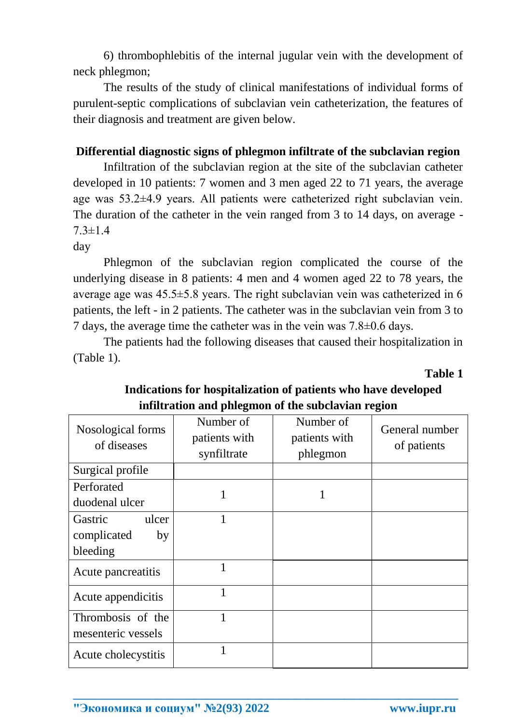6) thrombophlebitis of the internal jugular vein with the development of neck phlegmon;

The results of the study of clinical manifestations of individual forms of purulent-septic complications of subclavian vein catheterization, the features of their diagnosis and treatment are given below.

#### **Differential diagnostic signs of phlegmon infiltrate of the subclavian region**

Infiltration of the subclavian region at the site of the subclavian catheter developed in 10 patients: 7 women and 3 men aged 22 to 71 years, the average age was 53.2±4.9 years. All patients were catheterized right subclavian vein. The duration of the catheter in the vein ranged from 3 to 14 days, on average - 7.3±1.4

day

Phlegmon of the subclavian region complicated the course of the underlying disease in 8 patients: 4 men and 4 women aged 22 to 78 years, the average age was 45.5±5.8 years. The right subclavian vein was catheterized in 6 patients, the left - in 2 patients. The catheter was in the subclavian vein from 3 to 7 days, the average time the catheter was in the vein was 7.8±0.6 days.

The patients had the following diseases that caused their hospitalization in (Table 1).

**Table 1**

| Nosological forms<br>of diseases                  | Number of<br>patients with<br>synfiltrate | Number of<br>patients with<br>phlegmon | General number<br>of patients |  |
|---------------------------------------------------|-------------------------------------------|----------------------------------------|-------------------------------|--|
| Surgical profile                                  |                                           |                                        |                               |  |
| Perforated<br>duodenal ulcer                      | 1                                         | 1                                      |                               |  |
| Gastric<br>ulcer<br>complicated<br>by<br>bleeding | 1                                         |                                        |                               |  |
| Acute pancreatitis                                | 1                                         |                                        |                               |  |
| Acute appendicitis                                |                                           |                                        |                               |  |
| Thrombosis of the<br>mesenteric vessels           | 1                                         |                                        |                               |  |
| Acute cholecystitis                               |                                           |                                        |                               |  |

**\_\_\_\_\_\_\_\_\_\_\_\_\_\_\_\_\_\_\_\_\_\_\_\_\_\_\_\_\_\_\_\_\_\_\_\_\_\_\_\_\_\_\_\_\_\_\_\_\_\_\_\_\_\_\_\_\_\_\_\_\_\_\_\_**

#### **Indications for hospitalization of patients who have developed infiltration and phlegmon of the subclavian region**

**"Экономика и социум" №2(93) 2022 www.iupr.ru**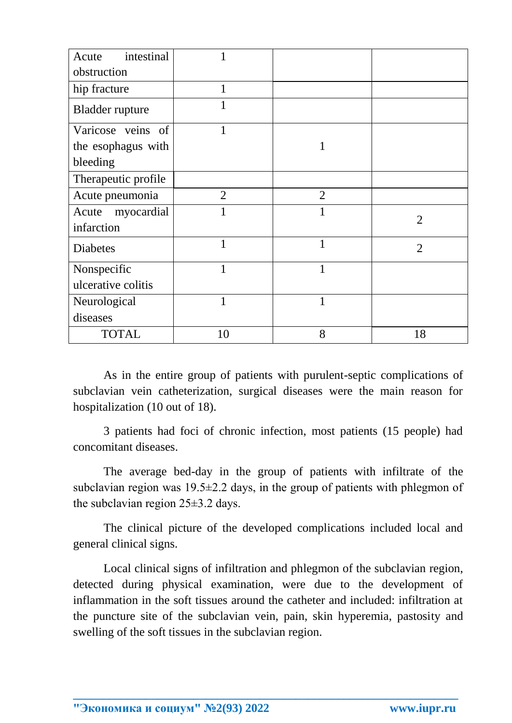| intestinal<br>Acute    |                |                |                |
|------------------------|----------------|----------------|----------------|
| obstruction            |                |                |                |
| hip fracture           | $\mathbf{1}$   |                |                |
| <b>Bladder</b> rupture | 1              |                |                |
| Varicose veins of      | 1              |                |                |
| the esophagus with     |                | 1              |                |
| bleeding               |                |                |                |
| Therapeutic profile    |                |                |                |
| Acute pneumonia        | $\overline{2}$ | $\overline{2}$ |                |
| myocardial<br>Acute    | 1              | 1              | $\overline{2}$ |
| infarction             |                |                |                |
| <b>Diabetes</b>        | 1              | 1              | $\overline{2}$ |
| Nonspecific            | 1              | $\mathbf{1}$   |                |
| ulcerative colitis     |                |                |                |
| Neurological           | 1              | $\mathbf{1}$   |                |
| diseases               |                |                |                |
| <b>TOTAL</b>           | 10             | 8              | 18             |

As in the entire group of patients with purulent-septic complications of subclavian vein catheterization, surgical diseases were the main reason for hospitalization (10 out of 18).

3 patients had foci of chronic infection, most patients (15 people) had concomitant diseases.

The average bed-day in the group of patients with infiltrate of the subclavian region was  $19.5\pm 2.2$  days, in the group of patients with phlegmon of the subclavian region 25±3.2 days.

The clinical picture of the developed complications included local and general clinical signs.

Local clinical signs of infiltration and phlegmon of the subclavian region, detected during physical examination, were due to the development of inflammation in the soft tissues around the catheter and included: infiltration at the puncture site of the subclavian vein, pain, skin hyperemia, pastosity and swelling of the soft tissues in the subclavian region.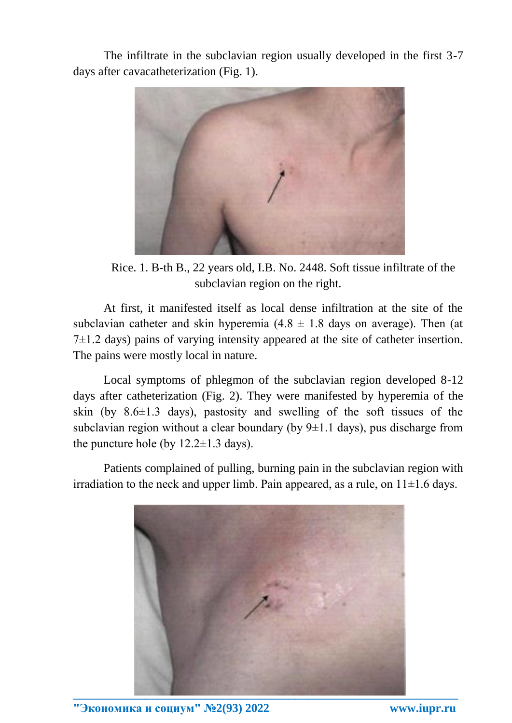The infiltrate in the subclavian region usually developed in the first 3-7 days after cavacatheterization (Fig. 1).



Rice. 1. B-th B., 22 years old, I.B. No. 2448. Soft tissue infiltrate of the subclavian region on the right.

At first, it manifested itself as local dense infiltration at the site of the subclavian catheter and skin hyperemia  $(4.8 \pm 1.8)$  days on average). Then (at  $7\pm1.2$  days) pains of varying intensity appeared at the site of catheter insertion. The pains were mostly local in nature.

Local symptoms of phlegmon of the subclavian region developed 8-12 days after catheterization (Fig. 2). They were manifested by hyperemia of the skin (by  $8.6 \pm 1.3$  days), pastosity and swelling of the soft tissues of the subclavian region without a clear boundary (by  $9\pm1.1$  days), pus discharge from the puncture hole (by  $12.2 \pm 1.3$  days).

Patients complained of pulling, burning pain in the subclavian region with irradiation to the neck and upper limb. Pain appeared, as a rule, on  $11\pm1.6$  days.



**"Экономика и социум" №2(93) 2022 www.iupr.ru**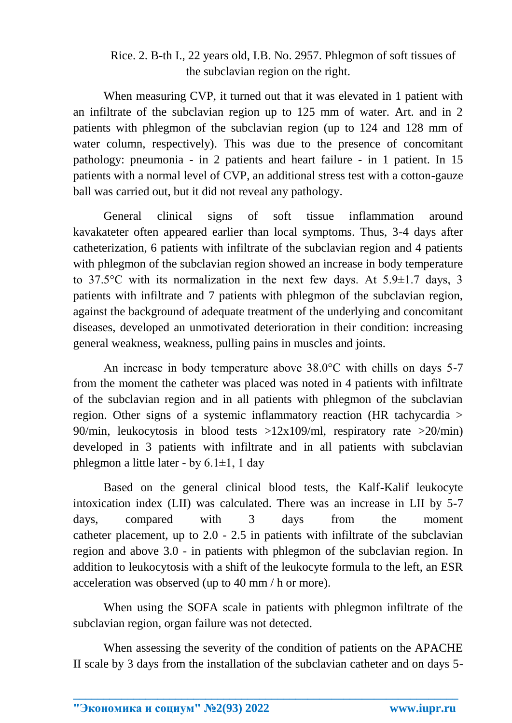### Rice. 2. B-th I., 22 years old, I.B. No. 2957. Phlegmon of soft tissues of the subclavian region on the right.

When measuring CVP, it turned out that it was elevated in 1 patient with an infiltrate of the subclavian region up to 125 mm of water. Art. and in 2 patients with phlegmon of the subclavian region (up to 124 and 128 mm of water column, respectively). This was due to the presence of concomitant pathology: pneumonia - in 2 patients and heart failure - in 1 patient. In 15 patients with a normal level of CVP, an additional stress test with a cotton-gauze ball was carried out, but it did not reveal any pathology.

General clinical signs of soft tissue inflammation around kavakateter often appeared earlier than local symptoms. Thus, 3-4 days after catheterization, 6 patients with infiltrate of the subclavian region and 4 patients with phlegmon of the subclavian region showed an increase in body temperature to 37.5 $\degree$ C with its normalization in the next few days. At 5.9 $\pm$ 1.7 days, 3 patients with infiltrate and 7 patients with phlegmon of the subclavian region, against the background of adequate treatment of the underlying and concomitant diseases, developed an unmotivated deterioration in their condition: increasing general weakness, weakness, pulling pains in muscles and joints.

An increase in body temperature above 38.0°C with chills on days 5-7 from the moment the catheter was placed was noted in 4 patients with infiltrate of the subclavian region and in all patients with phlegmon of the subclavian region. Other signs of a systemic inflammatory reaction (HR tachycardia > 90/min, leukocytosis in blood tests  $>12x109/ml$ , respiratory rate  $>20/min$ ) developed in 3 patients with infiltrate and in all patients with subclavian phlegmon a little later - by  $6.1 \pm 1$ , 1 day

Based on the general clinical blood tests, the Kalf-Kalif leukocyte intoxication index (LII) was calculated. There was an increase in LII by 5-7 days, compared with 3 days from the moment catheter placement, up to 2.0 - 2.5 in patients with infiltrate of the subclavian region and above 3.0 - in patients with phlegmon of the subclavian region. In addition to leukocytosis with a shift of the leukocyte formula to the left, an ESR acceleration was observed (up to 40 mm / h or more).

When using the SOFA scale in patients with phlegmon infiltrate of the subclavian region, organ failure was not detected.

When assessing the severity of the condition of patients on the APACHE II scale by 3 days from the installation of the subclavian catheter and on days 5-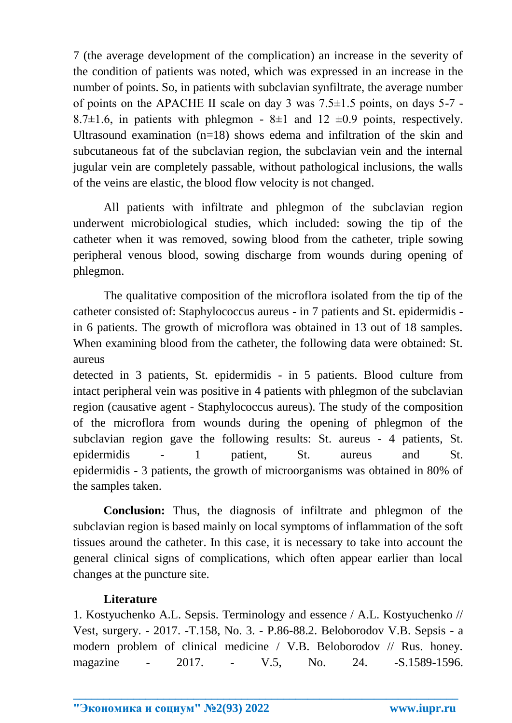7 (the average development of the complication) an increase in the severity of the condition of patients was noted, which was expressed in an increase in the number of points. So, in patients with subclavian synfiltrate, the average number of points on the APACHE II scale on day 3 was  $7.5\pm1.5$  points, on days  $5-7$  -8.7 $\pm$ 1.6, in patients with phlegmon - 8 $\pm$ 1 and 12  $\pm$ 0.9 points, respectively. Ultrasound examination  $(n=18)$  shows edema and infiltration of the skin and subcutaneous fat of the subclavian region, the subclavian vein and the internal jugular vein are completely passable, without pathological inclusions, the walls of the veins are elastic, the blood flow velocity is not changed.

All patients with infiltrate and phlegmon of the subclavian region underwent microbiological studies, which included: sowing the tip of the catheter when it was removed, sowing blood from the catheter, triple sowing peripheral venous blood, sowing discharge from wounds during opening of phlegmon.

The qualitative composition of the microflora isolated from the tip of the catheter consisted of: Staphylococcus aureus - in 7 patients and St. epidermidis in 6 patients. The growth of microflora was obtained in 13 out of 18 samples. When examining blood from the catheter, the following data were obtained: St. aureus

detected in 3 patients, St. epidermidis - in 5 patients. Blood culture from intact peripheral vein was positive in 4 patients with phlegmon of the subclavian region (causative agent - Staphylococcus aureus). The study of the composition of the microflora from wounds during the opening of phlegmon of the subclavian region gave the following results: St. aureus - 4 patients, St. epidermidis - 1 patient, St. aureus and St. epidermidis - 3 patients, the growth of microorganisms was obtained in 80% of the samples taken.

**Conclusion:** Thus, the diagnosis of infiltrate and phlegmon of the subclavian region is based mainly on local symptoms of inflammation of the soft tissues around the catheter. In this case, it is necessary to take into account the general clinical signs of complications, which often appear earlier than local changes at the puncture site.

#### **Literature**

1. Kostyuchenko A.L. Sepsis. Terminology and essence / A.L. Kostyuchenko // Vest, surgery. - 2017. -T.158, No. 3. - P.86-88.2. Beloborodov V.B. Sepsis - a modern problem of clinical medicine / V.B. Beloborodov // Rus. honey. magazine - 2017. - V.5, No. 24. - S.1589-1596.